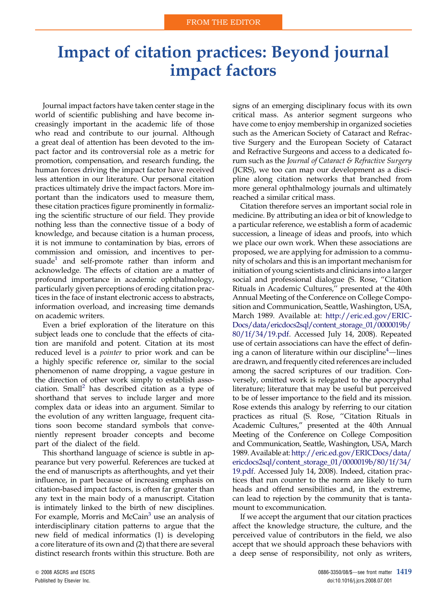## Impact of citation practices: Beyond journal impact factors

Journal impact factors have taken center stage in the world of scientific publishing and have become increasingly important in the academic life of those who read and contribute to our journal. Although a great deal of attention has been devoted to the impact factor and its controversial role as a metric for promotion, compensation, and research funding, the human forces driving the impact factor have received less attention in our literature. Our personal citation practices ultimately drive the impact factors. More important than the indicators used to measure them, these citation practices figure prominently in formalizing the scientific structure of our field. They provide nothing less than the connective tissue of a body of knowledge, and because citation is a human process, it is not immune to contamination by bias, errors of commission and omission, and incentives to per-suade<sup>[1](#page-2-0)</sup> and self-promote rather than inform and acknowledge. The effects of citation are a matter of profound importance in academic ophthalmology, particularly given perceptions of eroding citation practices in the face of instant electronic access to abstracts, information overload, and increasing time demands on academic writers.

Even a brief exploration of the literature on this subject leads one to conclude that the effects of citation are manifold and potent. Citation at its most reduced level is a *pointer* to prior work and can be a highly specific reference or, similar to the social phenomenon of name dropping, a vague gesture in the direction of other work simply to establish asso-ciation. Small<sup>[2](#page-2-0)</sup> has described citation as a type of shorthand that serves to include larger and more complex data or ideas into an argument. Similar to the evolution of any written language, frequent citations soon become standard symbols that conveniently represent broader concepts and become part of the dialect of the field.

This shorthand language of science is subtle in appearance but very powerful. References are tucked at the end of manuscripts as afterthoughts, and yet their influence, in part because of increasing emphasis on citation-based impact factors, is often far greater than any text in the main body of a manuscript. Citation is intimately linked to the birth of new disciplines. For example, Morris and McCain<sup>[3](#page-2-0)</sup> use an analysis of interdisciplinary citation patterns to argue that the new field of medical informatics (1) is developing a core literature of its own and (2) that there are several distinct research fronts within this structure. Both are

signs of an emerging disciplinary focus with its own critical mass. As anterior segment surgeons who have come to enjoy membership in organized societies such as the American Society of Cataract and Refractive Surgery and the European Society of Cataract and Refractive Surgeons and access to a dedicated forum such as the Journal of Cataract & Refractive Surgery (JCRS), we too can map our development as a discipline along citation networks that branched from more general ophthalmology journals and ultimately reached a similar critical mass.

Citation therefore serves an important social role in medicine. By attributing an idea or bit of knowledge to a particular reference, we establish a form of academic succession, a lineage of ideas and proofs, into which we place our own work. When these associations are proposed, we are applying for admission to a community of scholars and this is an important mechanism for initiation of young scientists and clinicians into a larger social and professional dialogue (S. Rose, ''Citation Rituals in Academic Cultures,'' presented at the 40th Annual Meeting of the Conference on College Composition and Communication, Seattle, Washington, USA, March 1989. Available at: [http://eric.ed.gov/ERIC-](http://eric.ed.gov/ERICDocs/data/ericdocs2sql/content_storage_01/0000019b/80/1f/34/19.pdf)[Docs/data/ericdocs2sql/content\\_storage\\_01/0000019b/](http://eric.ed.gov/ERICDocs/data/ericdocs2sql/content_storage_01/0000019b/80/1f/34/19.pdf) [80/1f/34/19.pdf](http://eric.ed.gov/ERICDocs/data/ericdocs2sql/content_storage_01/0000019b/80/1f/34/19.pdf). Accessed July 14, 2008). Repeated use of certain associations can have the effect of defining a canon of literature within our discipline $^4$  $^4$ —lines are drawn, and frequently cited references are included among the sacred scriptures of our tradition. Conversely, omitted work is relegated to the apocryphal literature; literature that may be useful but perceived to be of lesser importance to the field and its mission. Rose extends this analogy by referring to our citation practices as ritual (S. Rose, ''Citation Rituals in Academic Cultures,'' presented at the 40th Annual Meeting of the Conference on College Composition and Communication, Seattle, Washington, USA, March 1989. Available at:[http://eric.ed.gov/ERICDocs/data/](http://eric.ed.gov/ERICDocs/data/ericdocs2sql/content_storage_01/0000019b/80/1f/34/19.pdf) [ericdocs2sql/content\\_storage\\_01/0000019b/80/1f/34/](http://eric.ed.gov/ERICDocs/data/ericdocs2sql/content_storage_01/0000019b/80/1f/34/19.pdf) [19.pdf](http://eric.ed.gov/ERICDocs/data/ericdocs2sql/content_storage_01/0000019b/80/1f/34/19.pdf). Accessed July 14, 2008). Indeed, citation practices that run counter to the norm are likely to turn heads and offend sensibilities and, in the extreme, can lead to rejection by the community that is tantamount to excommunication.

If we accept the argument that our citation practices affect the knowledge structure, the culture, and the perceived value of contributors in the field, we also accept that we should approach these behaviors with a deep sense of responsibility, not only as writers,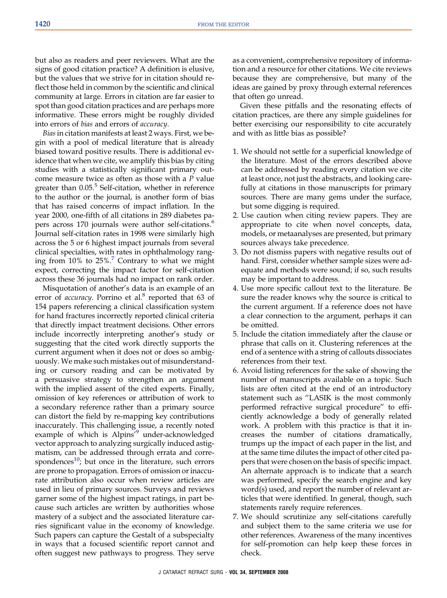but also as readers and peer reviewers. What are the signs of good citation practice? A definition is elusive, but the values that we strive for in citation should reflect those held in common by the scientific and clinical community at large. Errors in citation are far easier to spot than good citation practices and are perhaps more informative. These errors might be roughly divided into errors of bias and errors of accuracy.

Bias in citation manifests at least 2 ways. First, we begin with a pool of medical literature that is already biased toward positive results. There is additional evidence that when we cite, we amplify this bias by citing studies with a statistically significant primary outcome measure twice as often as those with a P value greater than  $0.05<sup>5</sup>$  $0.05<sup>5</sup>$  $0.05<sup>5</sup>$  Self-citation, whether in reference to the author or the journal, is another form of bias that has raised concerns of impact inflation. In the year 2000, one-fifth of all citations in 289 diabetes pa-pers across 170 journals were author self-citations.<sup>[6](#page-2-0)</sup> Journal self-citation rates in 1998 were similarly high across the 5 or 6 highest impact journals from several clinical specialties, with rates in ophthalmology ranging from  $10\%$  to  $25\%$ . Contrary to what we might expect, correcting the impact factor for self-citation across these 36 journals had no impact on rank order.

Misquotation of another's data is an example of an error of *accuracy*. Porrino et al.<sup>8</sup> reported that 63 of 154 papers referencing a clinical classification system for hand fractures incorrectly reported clinical criteria that directly impact treatment decisions. Other errors include incorrectly interpreting another's study or suggesting that the cited work directly supports the current argument when it does not or does so ambiguously. We make such mistakes out of misunderstanding or cursory reading and can be motivated by a persuasive strategy to strengthen an argument with the implied assent of the cited experts. Finally, omission of key references or attribution of work to a secondary reference rather than a primary source can distort the field by re-mapping key contributions inaccurately. This challenging issue, a recently noted example of which is Alpins<sup>['9](#page-2-0)</sup> under-acknowledged vector approach to analyzing surgically induced astigmatism, can be addressed through errata and correspondences $^{10}$  $^{10}$  $^{10}$ ; but once in the literature, such errors are prone to propagation. Errors of omission or inaccurate attribution also occur when review articles are used in lieu of primary sources. Surveys and reviews garner some of the highest impact ratings, in part because such articles are written by authorities whose mastery of a subject and the associated literature carries significant value in the economy of knowledge. Such papers can capture the Gestalt of a subspecialty in ways that a focused scientific report cannot and often suggest new pathways to progress. They serve

as a convenient, comprehensive repository of information and a resource for other citations. We cite reviews because they are comprehensive, but many of the ideas are gained by proxy through external references that often go unread.

Given these pitfalls and the resonating effects of citation practices, are there any simple guidelines for better exercising our responsibility to cite accurately and with as little bias as possible?

- 1. We should not settle for a superficial knowledge of the literature. Most of the errors described above can be addressed by reading every citation we cite at least once, not just the abstracts, and looking carefully at citations in those manuscripts for primary sources. There are many gems under the surface, but some digging is required.
- 2. Use caution when citing review papers. They are appropriate to cite when novel concepts, data, models, or metaanalyses are presented, but primary sources always take precedence.
- 3. Do not dismiss papers with negative results out of hand. First, consider whether sample sizes were adequate and methods were sound; if so, such results may be important to address.
- 4. Use more specific callout text to the literature. Be sure the reader knows why the source is critical to the current argument. If a reference does not have a clear connection to the argument, perhaps it can be omitted.
- 5. Include the citation immediately after the clause or phrase that calls on it. Clustering references at the end of a sentence with a string of callouts dissociates references from their text.
- 6. Avoid listing references for the sake of showing the number of manuscripts available on a topic. Such lists are often cited at the end of an introductory statement such as ''LASIK is the most commonly performed refractive surgical procedure'' to efficiently acknowledge a body of generally related work. A problem with this practice is that it increases the number of citations dramatically, trumps up the impact of each paper in the list, and at the same time dilutes the impact of other cited papers that were chosen on the basis of specific impact. An alternate approach is to indicate that a search was performed, specify the search engine and key word(s) used, and report the number of relevant articles that were identified. In general, though, such statements rarely require references.
- 7. We should scrutinize any self-citations carefully and subject them to the same criteria we use for other references. Awareness of the many incentives for self-promotion can help keep these forces in check.